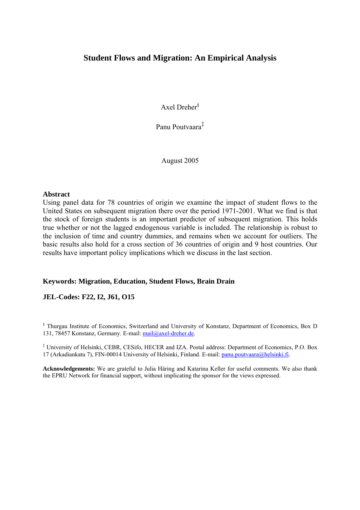## **Student Flows and Migration: An Empirical Analysis**

Axel Dreher§

Panu Poutvaara‡

August 2005

#### **Abstract**

Using panel data for 78 countries of origin we examine the impact of student flows to the United States on subsequent migration there over the period 1971-2001. What we find is that the stock of foreign students is an important predictor of subsequent migration. This holds true whether or not the lagged endogenous variable is included. The relationship is robust to the inclusion of time and country dummies, and remains when we account for outliers. The basic results also hold for a cross section of 36 countries of origin and 9 host countries. Our results have important policy implications which we discuss in the last section.

## **Keywords: Migration, Education, Student Flows, Brain Drain**

## **JEL-Codes: F22, I2, J61, O15**

§ Thurgau Institute of Economics, Switzerland and University of Konstanz, Department of Economics, Box D 131, 78457 Konstanz, Germany. E-mail: mail@axel-dreher.de.

‡ University of Helsinki, CEBR, CESifo, HECER and IZA. Postal address: Department of Economics, P.O. Box 17 (Arkadiankatu 7), FIN-00014 University of Helsinki, Finland. E-mail: panu.poutvaara@helsinki.fi.

**Acknowledgements:** We are grateful to Julia Häring and Katarina Keller for useful comments. We also thank the EPRU Network for financial support, without implicating the sponsor for the views expressed.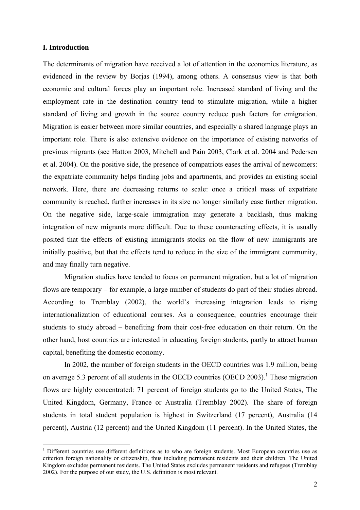### **I. Introduction**

1

The determinants of migration have received a lot of attention in the economics literature, as evidenced in the review by Borjas (1994), among others. A consensus view is that both economic and cultural forces play an important role. Increased standard of living and the employment rate in the destination country tend to stimulate migration, while a higher standard of living and growth in the source country reduce push factors for emigration. Migration is easier between more similar countries, and especially a shared language plays an important role. There is also extensive evidence on the importance of existing networks of previous migrants (see Hatton 2003, Mitchell and Pain 2003, Clark et al. 2004 and Pedersen et al. 2004). On the positive side, the presence of compatriots eases the arrival of newcomers: the expatriate community helps finding jobs and apartments, and provides an existing social network. Here, there are decreasing returns to scale: once a critical mass of expatriate community is reached, further increases in its size no longer similarly ease further migration. On the negative side, large-scale immigration may generate a backlash, thus making integration of new migrants more difficult. Due to these counteracting effects, it is usually posited that the effects of existing immigrants stocks on the flow of new immigrants are initially positive, but that the effects tend to reduce in the size of the immigrant community, and may finally turn negative.

Migration studies have tended to focus on permanent migration, but a lot of migration flows are temporary – for example, a large number of students do part of their studies abroad. According to Tremblay (2002), the world's increasing integration leads to rising internationalization of educational courses. As a consequence, countries encourage their students to study abroad – benefiting from their cost-free education on their return. On the other hand, host countries are interested in educating foreign students, partly to attract human capital, benefiting the domestic economy.

In 2002, the number of foreign students in the OECD countries was 1.9 million, being on average 5.3 percent of all students in the OECD countries (OECD 2003).<sup>1</sup> These migration flows are highly concentrated: 71 percent of foreign students go to the United States, The United Kingdom, Germany, France or Australia (Tremblay 2002). The share of foreign students in total student population is highest in Switzerland (17 percent), Australia (14 percent), Austria (12 percent) and the United Kingdom (11 percent). In the United States, the

<sup>&</sup>lt;sup>1</sup> Different countries use different definitions as to who are foreign students. Most European countries use as criterion foreign nationality or citizenship, thus including permanent residents and their children. The United Kingdom excludes permanent residents. The United States excludes permanent residents and refugees (Tremblay 2002). For the purpose of our study, the U.S. definition is most relevant.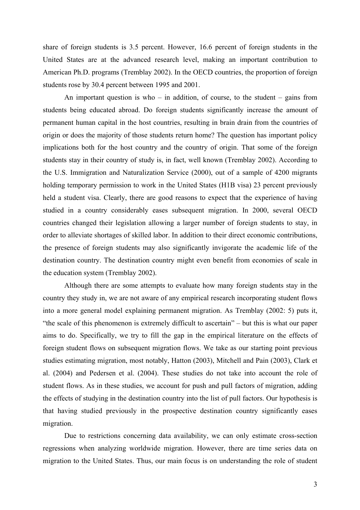share of foreign students is 3.5 percent. However, 16.6 percent of foreign students in the United States are at the advanced research level, making an important contribution to American Ph.D. programs (Tremblay 2002). In the OECD countries, the proportion of foreign students rose by 30.4 percent between 1995 and 2001.

An important question is who – in addition, of course, to the student – gains from students being educated abroad. Do foreign students significantly increase the amount of permanent human capital in the host countries, resulting in brain drain from the countries of origin or does the majority of those students return home? The question has important policy implications both for the host country and the country of origin. That some of the foreign students stay in their country of study is, in fact, well known (Tremblay 2002). According to the U.S. Immigration and Naturalization Service (2000), out of a sample of 4200 migrants holding temporary permission to work in the United States (H1B visa) 23 percent previously held a student visa. Clearly, there are good reasons to expect that the experience of having studied in a country considerably eases subsequent migration. In 2000, several OECD countries changed their legislation allowing a larger number of foreign students to stay, in order to alleviate shortages of skilled labor. In addition to their direct economic contributions, the presence of foreign students may also significantly invigorate the academic life of the destination country. The destination country might even benefit from economies of scale in the education system (Tremblay 2002).

Although there are some attempts to evaluate how many foreign students stay in the country they study in, we are not aware of any empirical research incorporating student flows into a more general model explaining permanent migration. As Tremblay (2002: 5) puts it, "the scale of this phenomenon is extremely difficult to ascertain" – but this is what our paper aims to do. Specifically, we try to fill the gap in the empirical literature on the effects of foreign student flows on subsequent migration flows. We take as our starting point previous studies estimating migration, most notably, Hatton (2003), Mitchell and Pain (2003), Clark et al. (2004) and Pedersen et al. (2004). These studies do not take into account the role of student flows. As in these studies, we account for push and pull factors of migration, adding the effects of studying in the destination country into the list of pull factors. Our hypothesis is that having studied previously in the prospective destination country significantly eases migration.

Due to restrictions concerning data availability, we can only estimate cross-section regressions when analyzing worldwide migration. However, there are time series data on migration to the United States. Thus, our main focus is on understanding the role of student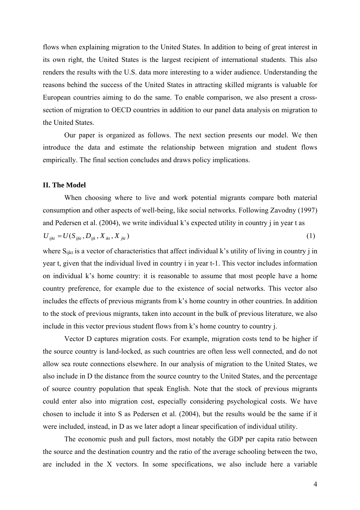flows when explaining migration to the United States. In addition to being of great interest in its own right, the United States is the largest recipient of international students. This also renders the results with the U.S. data more interesting to a wider audience. Understanding the reasons behind the success of the United States in attracting skilled migrants is valuable for European countries aiming to do the same. To enable comparison, we also present a crosssection of migration to OECD countries in addition to our panel data analysis on migration to the United States.

Our paper is organized as follows. The next section presents our model. We then introduce the data and estimate the relationship between migration and student flows empirically. The final section concludes and draws policy implications.

#### **II. The Model**

When choosing where to live and work potential migrants compare both material consumption and other aspects of well-being, like social networks. Following Zavodny (1997) and Pedersen et al. (2004), we write individual k's expected utility in country j in year t as  $U_{ijkt} = U(S_{ijkt}, D_{ijk}, X_{ikt}, X_{jkt})$  (1)

where  $S_{iikt}$  is a vector of characteristics that affect individual k's utility of living in country j in year t, given that the individual lived in country i in year t-1. This vector includes information on individual k's home country: it is reasonable to assume that most people have a home country preference, for example due to the existence of social networks. This vector also includes the effects of previous migrants from k's home country in other countries. In addition to the stock of previous migrants, taken into account in the bulk of previous literature, we also include in this vector previous student flows from k's home country to country j.

Vector D captures migration costs. For example, migration costs tend to be higher if the source country is land-locked, as such countries are often less well connected, and do not allow sea route connections elsewhere. In our analysis of migration to the United States, we also include in D the distance from the source country to the United States, and the percentage of source country population that speak English. Note that the stock of previous migrants could enter also into migration cost, especially considering psychological costs. We have chosen to include it into S as Pedersen et al. (2004), but the results would be the same if it were included, instead, in D as we later adopt a linear specification of individual utility.

 The economic push and pull factors, most notably the GDP per capita ratio between the source and the destination country and the ratio of the average schooling between the two, are included in the X vectors. In some specifications, we also include here a variable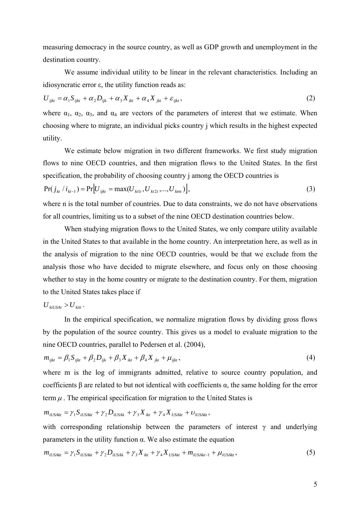measuring democracy in the source country, as well as GDP growth and unemployment in the destination country.

 We assume individual utility to be linear in the relevant characteristics. Including an idiosyncratic error ε, the utility function reads as:

$$
U_{ijkt} = \alpha_1 S_{ijkt} + \alpha_2 D_{ijk} + \alpha_3 X_{ikt} + \alpha_4 X_{jkt} + \varepsilon_{ijkt},
$$
\n(2)

where  $\alpha_1$ ,  $\alpha_2$ ,  $\alpha_3$ , and  $\alpha_4$  are vectors of the parameters of interest that we estimate. When choosing where to migrate, an individual picks country j which results in the highest expected utility.

 We estimate below migration in two different frameworks. We first study migration flows to nine OECD countries, and then migration flows to the United States. In the first specification, the probability of choosing country j among the OECD countries is

$$
Pr(j_{kt} / i_{kt-1}) = Pr[U_{ijkt} = max(U_{kit}, U_{kt2t}, ..., U_{kmt})],
$$
\n(3)

where n is the total number of countries. Due to data constraints, we do not have observations for all countries, limiting us to a subset of the nine OECD destination countries below.

 When studying migration flows to the United States, we only compare utility available in the United States to that available in the home country. An interpretation here, as well as in the analysis of migration to the nine OECD countries, would be that we exclude from the analysis those who have decided to migrate elsewhere, and focus only on those choosing whether to stay in the home country or migrate to the destination country. For them, migration to the United States takes place if

$$
U_{\text{kilVSA}t} > U_{\text{kii}t}.
$$

 In the empirical specification, we normalize migration flows by dividing gross flows by the population of the source country. This gives us a model to evaluate migration to the nine OECD countries, parallel to Pedersen et al. (2004),

$$
m_{ijkt} = \beta_1 S_{ijkt} + \beta_2 D_{ijk} + \beta_3 X_{ikt} + \beta_4 X_{jkt} + \mu_{ijkt},
$$
\n(4)

where m is the log of immigrants admitted, relative to source country population, and coefficients β are related to but not identical with coefficients α, the same holding for the error term  $\mu$ . The empirical specification for migration to the United States is

$$
m_{iUSAkt} = \gamma_1 S_{iUSAkt} + \gamma_2 D_{iUSAkt} + \gamma_3 X_{ikt} + \gamma_4 X_{USAkt} + \upsilon_{iUSAkt},
$$

with corresponding relationship between the parameters of interest  $\gamma$  and underlying parameters in the utility function α. We also estimate the equation

$$
m_{iUSAt} = \gamma_1 S_{iUSAt} + \gamma_2 D_{iUSAt} + \gamma_3 X_{ikt} + \gamma_4 X_{USAt} + m_{iUSAt-1} + \mu_{iUSAt},
$$
\n(5)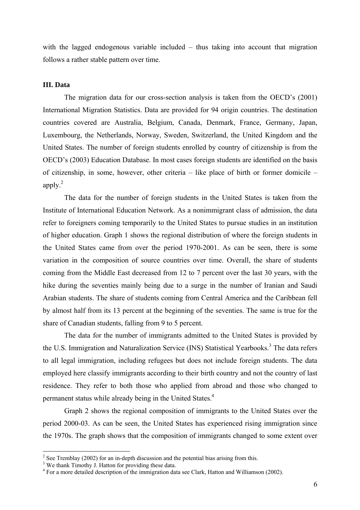with the lagged endogenous variable included – thus taking into account that migration follows a rather stable pattern over time.

## **III. Data**

The migration data for our cross-section analysis is taken from the OECD's (2001) International Migration Statistics. Data are provided for 94 origin countries. The destination countries covered are Australia, Belgium, Canada, Denmark, France, Germany, Japan, Luxembourg, the Netherlands, Norway, Sweden, Switzerland, the United Kingdom and the United States. The number of foreign students enrolled by country of citizenship is from the OECD's (2003) Education Database. In most cases foreign students are identified on the basis of citizenship, in some, however, other criteria – like place of birth or former domicile – apply.2

The data for the number of foreign students in the United States is taken from the Institute of International Education Network. As a nonimmigrant class of admission, the data refer to foreigners coming temporarily to the United States to pursue studies in an institution of higher education. Graph 1 shows the regional distribution of where the foreign students in the United States came from over the period 1970-2001. As can be seen, there is some variation in the composition of source countries over time. Overall, the share of students coming from the Middle East decreased from 12 to 7 percent over the last 30 years, with the hike during the seventies mainly being due to a surge in the number of Iranian and Saudi Arabian students. The share of students coming from Central America and the Caribbean fell by almost half from its 13 percent at the beginning of the seventies. The same is true for the share of Canadian students, falling from 9 to 5 percent.

The data for the number of immigrants admitted to the United States is provided by the U.S. Immigration and Naturalization Service (INS) Statistical Yearbooks.<sup>3</sup> The data refers to all legal immigration, including refugees but does not include foreign students. The data employed here classify immigrants according to their birth country and not the country of last residence. They refer to both those who applied from abroad and those who changed to permanent status while already being in the United States.<sup>4</sup>

Graph 2 shows the regional composition of immigrants to the United States over the period 2000-03. As can be seen, the United States has experienced rising immigration since the 1970s. The graph shows that the composition of immigrants changed to some extent over

1

 $2^2$  See Tremblay (2002) for an in-depth discussion and the potential bias arising from this.

<sup>&</sup>lt;sup>3</sup> We thank Timothy J. Hatton for providing these data.

<sup>&</sup>lt;sup>4</sup> For a more detailed description of the immigration data see Clark, Hatton and Williamson (2002).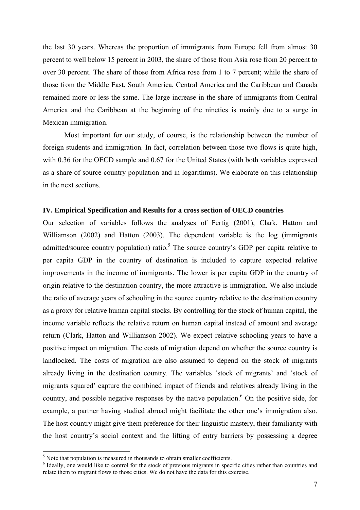the last 30 years. Whereas the proportion of immigrants from Europe fell from almost 30 percent to well below 15 percent in 2003, the share of those from Asia rose from 20 percent to over 30 percent. The share of those from Africa rose from 1 to 7 percent; while the share of those from the Middle East, South America, Central America and the Caribbean and Canada remained more or less the same. The large increase in the share of immigrants from Central America and the Caribbean at the beginning of the nineties is mainly due to a surge in Mexican immigration.

Most important for our study, of course, is the relationship between the number of foreign students and immigration. In fact, correlation between those two flows is quite high, with 0.36 for the OECD sample and 0.67 for the United States (with both variables expressed as a share of source country population and in logarithms). We elaborate on this relationship in the next sections.

#### **IV. Empirical Specification and Results for a cross section of OECD countries**

Our selection of variables follows the analyses of Fertig (2001), Clark, Hatton and Williamson (2002) and Hatton (2003). The dependent variable is the log (immigrants admitted/source country population) ratio.<sup>5</sup> The source country's GDP per capita relative to per capita GDP in the country of destination is included to capture expected relative improvements in the income of immigrants. The lower is per capita GDP in the country of origin relative to the destination country, the more attractive is immigration. We also include the ratio of average years of schooling in the source country relative to the destination country as a proxy for relative human capital stocks. By controlling for the stock of human capital, the income variable reflects the relative return on human capital instead of amount and average return (Clark, Hatton and Williamson 2002). We expect relative schooling years to have a positive impact on migration. The costs of migration depend on whether the source country is landlocked. The costs of migration are also assumed to depend on the stock of migrants already living in the destination country. The variables 'stock of migrants' and 'stock of migrants squared' capture the combined impact of friends and relatives already living in the country, and possible negative responses by the native population.<sup>6</sup> On the positive side, for example, a partner having studied abroad might facilitate the other one's immigration also. The host country might give them preference for their linguistic mastery, their familiarity with the host country's social context and the lifting of entry barriers by possessing a degree

 $\overline{a}$ 

 $<sup>5</sup>$  Note that population is measured in thousands to obtain smaller coefficients.</sup>

<sup>&</sup>lt;sup>6</sup> Ideally, one would like to control for the stock of previous migrants in specific cities rather than countries and relate them to migrant flows to those cities. We do not have the data for this exercise.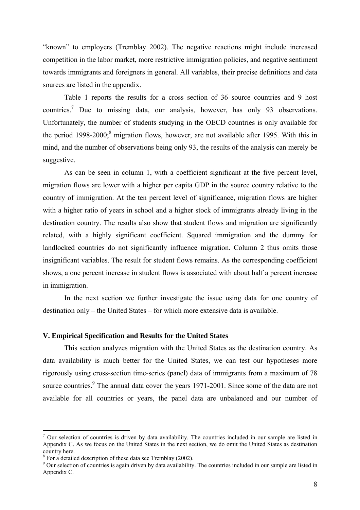"known" to employers (Tremblay 2002). The negative reactions might include increased competition in the labor market, more restrictive immigration policies, and negative sentiment towards immigrants and foreigners in general. All variables, their precise definitions and data sources are listed in the appendix.

Table 1 reports the results for a cross section of 36 source countries and 9 host countries.<sup>7</sup> Due to missing data, our analysis, however, has only 93 observations. Unfortunately, the number of students studying in the OECD countries is only available for the period  $1998-2000$ ;<sup>8</sup> migration flows, however, are not available after 1995. With this in mind, and the number of observations being only 93, the results of the analysis can merely be suggestive.

As can be seen in column 1, with a coefficient significant at the five percent level, migration flows are lower with a higher per capita GDP in the source country relative to the country of immigration. At the ten percent level of significance, migration flows are higher with a higher ratio of years in school and a higher stock of immigrants already living in the destination country. The results also show that student flows and migration are significantly related, with a highly significant coefficient. Squared immigration and the dummy for landlocked countries do not significantly influence migration. Column 2 thus omits those insignificant variables. The result for student flows remains. As the corresponding coefficient shows, a one percent increase in student flows is associated with about half a percent increase in immigration.

In the next section we further investigate the issue using data for one country of destination only – the United States – for which more extensive data is available.

## **V. Empirical Specification and Results for the United States**

This section analyzes migration with the United States as the destination country. As data availability is much better for the United States, we can test our hypotheses more rigorously using cross-section time-series (panel) data of immigrants from a maximum of 78 source countries.<sup>9</sup> The annual data cover the years 1971-2001. Since some of the data are not available for all countries or years, the panel data are unbalanced and our number of

1

 $<sup>7</sup>$  Our selection of countries is driven by data availability. The countries included in our sample are listed in</sup> Appendix C. As we focus on the United States in the next section, we do omit the United States as destination country here.

 $8$  For a detailed description of these data see Tremblay (2002).

<sup>&</sup>lt;sup>9</sup> Our selection of countries is again driven by data availability. The countries included in our sample are listed in Appendix C.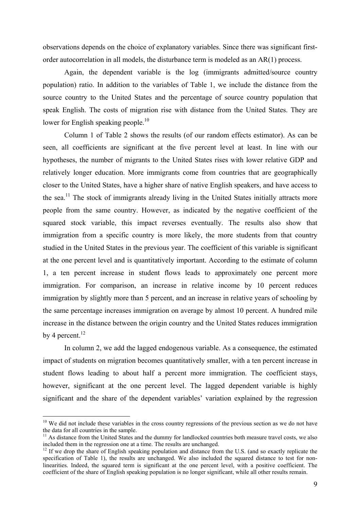observations depends on the choice of explanatory variables. Since there was significant firstorder autocorrelation in all models, the disturbance term is modeled as an AR(1) process.

Again, the dependent variable is the log (immigrants admitted/source country population) ratio. In addition to the variables of Table 1, we include the distance from the source country to the United States and the percentage of source country population that speak English. The costs of migration rise with distance from the United States. They are lower for English speaking people.<sup>10</sup>

Column 1 of Table 2 shows the results (of our random effects estimator). As can be seen, all coefficients are significant at the five percent level at least. In line with our hypotheses, the number of migrants to the United States rises with lower relative GDP and relatively longer education. More immigrants come from countries that are geographically closer to the United States, have a higher share of native English speakers, and have access to the sea.<sup>11</sup> The stock of immigrants already living in the United States initially attracts more people from the same country. However, as indicated by the negative coefficient of the squared stock variable, this impact reverses eventually. The results also show that immigration from a specific country is more likely, the more students from that country studied in the United States in the previous year. The coefficient of this variable is significant at the one percent level and is quantitatively important. According to the estimate of column 1, a ten percent increase in student flows leads to approximately one percent more immigration. For comparison, an increase in relative income by 10 percent reduces immigration by slightly more than 5 percent, and an increase in relative years of schooling by the same percentage increases immigration on average by almost 10 percent. A hundred mile increase in the distance between the origin country and the United States reduces immigration by 4 percent. $^{12}$ 

In column 2, we add the lagged endogenous variable. As a consequence, the estimated impact of students on migration becomes quantitatively smaller, with a ten percent increase in student flows leading to about half a percent more immigration. The coefficient stays, however, significant at the one percent level. The lagged dependent variable is highly significant and the share of the dependent variables' variation explained by the regression

1

 $10$  We did not include these variables in the cross country regressions of the previous section as we do not have the data for all countries in the sample.

 $11$  As distance from the United States and the dummy for landlocked countries both measure travel costs, we also included them in the regression one at a time. The results are unchanged.<br><sup>12</sup> If we drop the share of English speaking population and distance from the U.S. (and so exactly replicate the

specification of Table 1), the results are unchanged. We also included the squared distance to test for nonlinearities. Indeed, the squared term is significant at the one percent level, with a positive coefficient. The coefficient of the share of English speaking population is no longer significant, while all other results remain.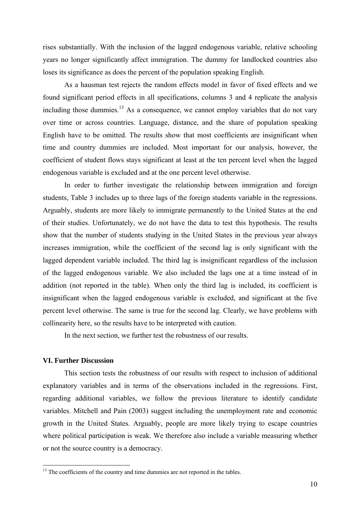rises substantially. With the inclusion of the lagged endogenous variable, relative schooling years no longer significantly affect immigration. The dummy for landlocked countries also loses its significance as does the percent of the population speaking English.

As a hausman test rejects the random effects model in favor of fixed effects and we found significant period effects in all specifications, columns 3 and 4 replicate the analysis including those dummies.<sup>13</sup> As a consequence, we cannot employ variables that do not vary over time or across countries. Language, distance, and the share of population speaking English have to be omitted. The results show that most coefficients are insignificant when time and country dummies are included. Most important for our analysis, however, the coefficient of student flows stays significant at least at the ten percent level when the lagged endogenous variable is excluded and at the one percent level otherwise.

In order to further investigate the relationship between immigration and foreign students, Table 3 includes up to three lags of the foreign students variable in the regressions. Arguably, students are more likely to immigrate permanently to the United States at the end of their studies. Unfortunately, we do not have the data to test this hypothesis. The results show that the number of students studying in the United States in the previous year always increases immigration, while the coefficient of the second lag is only significant with the lagged dependent variable included. The third lag is insignificant regardless of the inclusion of the lagged endogenous variable. We also included the lags one at a time instead of in addition (not reported in the table). When only the third lag is included, its coefficient is insignificant when the lagged endogenous variable is excluded, and significant at the five percent level otherwise. The same is true for the second lag. Clearly, we have problems with collinearity here, so the results have to be interpreted with caution.

In the next section, we further test the robustness of our results.

## **VI. Further Discussion**

 $\overline{a}$ 

This section tests the robustness of our results with respect to inclusion of additional explanatory variables and in terms of the observations included in the regressions. First, regarding additional variables, we follow the previous literature to identify candidate variables. Mitchell and Pain (2003) suggest including the unemployment rate and economic growth in the United States. Arguably, people are more likely trying to escape countries where political participation is weak. We therefore also include a variable measuring whether or not the source country is a democracy.

<sup>&</sup>lt;sup>13</sup> The coefficients of the country and time dummies are not reported in the tables.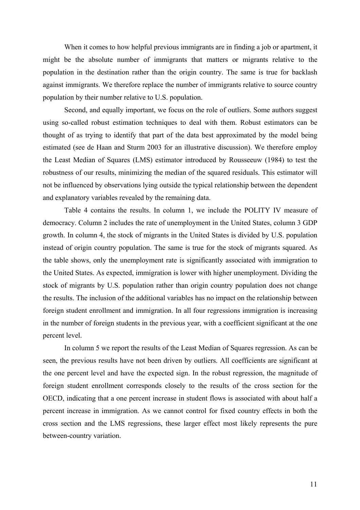When it comes to how helpful previous immigrants are in finding a job or apartment, it might be the absolute number of immigrants that matters or migrants relative to the population in the destination rather than the origin country. The same is true for backlash against immigrants. We therefore replace the number of immigrants relative to source country population by their number relative to U.S. population.

Second, and equally important, we focus on the role of outliers. Some authors suggest using so-called robust estimation techniques to deal with them. Robust estimators can be thought of as trying to identify that part of the data best approximated by the model being estimated (see de Haan and Sturm 2003 for an illustrative discussion). We therefore employ the Least Median of Squares (LMS) estimator introduced by Rousseeuw (1984) to test the robustness of our results, minimizing the median of the squared residuals. This estimator will not be influenced by observations lying outside the typical relationship between the dependent and explanatory variables revealed by the remaining data.

Table 4 contains the results. In column 1, we include the POLITY IV measure of democracy. Column 2 includes the rate of unemployment in the United States, column 3 GDP growth. In column 4, the stock of migrants in the United States is divided by U.S. population instead of origin country population. The same is true for the stock of migrants squared. As the table shows, only the unemployment rate is significantly associated with immigration to the United States. As expected, immigration is lower with higher unemployment. Dividing the stock of migrants by U.S. population rather than origin country population does not change the results. The inclusion of the additional variables has no impact on the relationship between foreign student enrollment and immigration. In all four regressions immigration is increasing in the number of foreign students in the previous year, with a coefficient significant at the one percent level.

In column 5 we report the results of the Least Median of Squares regression. As can be seen, the previous results have not been driven by outliers. All coefficients are significant at the one percent level and have the expected sign. In the robust regression, the magnitude of foreign student enrollment corresponds closely to the results of the cross section for the OECD, indicating that a one percent increase in student flows is associated with about half a percent increase in immigration. As we cannot control for fixed country effects in both the cross section and the LMS regressions, these larger effect most likely represents the pure between-country variation.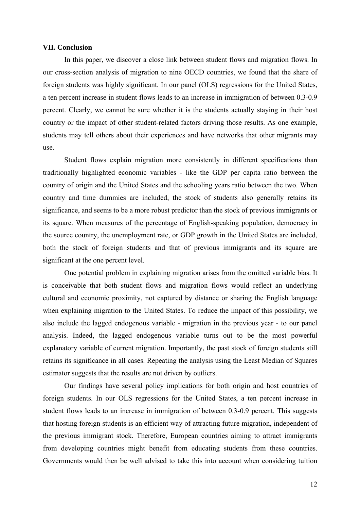#### **VII. Conclusion**

In this paper, we discover a close link between student flows and migration flows. In our cross-section analysis of migration to nine OECD countries, we found that the share of foreign students was highly significant. In our panel (OLS) regressions for the United States, a ten percent increase in student flows leads to an increase in immigration of between 0.3-0.9 percent. Clearly, we cannot be sure whether it is the students actually staying in their host country or the impact of other student-related factors driving those results. As one example, students may tell others about their experiences and have networks that other migrants may use.

Student flows explain migration more consistently in different specifications than traditionally highlighted economic variables - like the GDP per capita ratio between the country of origin and the United States and the schooling years ratio between the two. When country and time dummies are included, the stock of students also generally retains its significance, and seems to be a more robust predictor than the stock of previous immigrants or its square. When measures of the percentage of English-speaking population, democracy in the source country, the unemployment rate, or GDP growth in the United States are included, both the stock of foreign students and that of previous immigrants and its square are significant at the one percent level.

One potential problem in explaining migration arises from the omitted variable bias. It is conceivable that both student flows and migration flows would reflect an underlying cultural and economic proximity, not captured by distance or sharing the English language when explaining migration to the United States. To reduce the impact of this possibility, we also include the lagged endogenous variable - migration in the previous year - to our panel analysis. Indeed, the lagged endogenous variable turns out to be the most powerful explanatory variable of current migration. Importantly, the past stock of foreign students still retains its significance in all cases. Repeating the analysis using the Least Median of Squares estimator suggests that the results are not driven by outliers.

Our findings have several policy implications for both origin and host countries of foreign students. In our OLS regressions for the United States, a ten percent increase in student flows leads to an increase in immigration of between 0.3-0.9 percent. This suggests that hosting foreign students is an efficient way of attracting future migration, independent of the previous immigrant stock. Therefore, European countries aiming to attract immigrants from developing countries might benefit from educating students from these countries. Governments would then be well advised to take this into account when considering tuition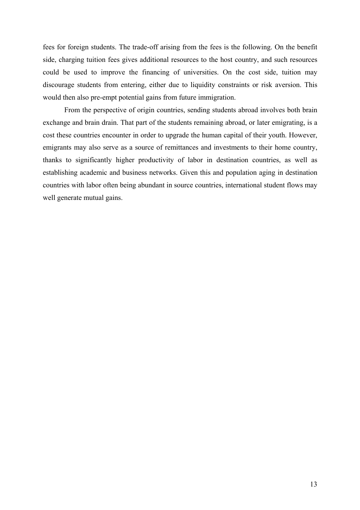fees for foreign students. The trade-off arising from the fees is the following. On the benefit side, charging tuition fees gives additional resources to the host country, and such resources could be used to improve the financing of universities. On the cost side, tuition may discourage students from entering, either due to liquidity constraints or risk aversion. This would then also pre-empt potential gains from future immigration.

From the perspective of origin countries, sending students abroad involves both brain exchange and brain drain. That part of the students remaining abroad, or later emigrating, is a cost these countries encounter in order to upgrade the human capital of their youth. However, emigrants may also serve as a source of remittances and investments to their home country, thanks to significantly higher productivity of labor in destination countries, as well as establishing academic and business networks. Given this and population aging in destination countries with labor often being abundant in source countries, international student flows may well generate mutual gains.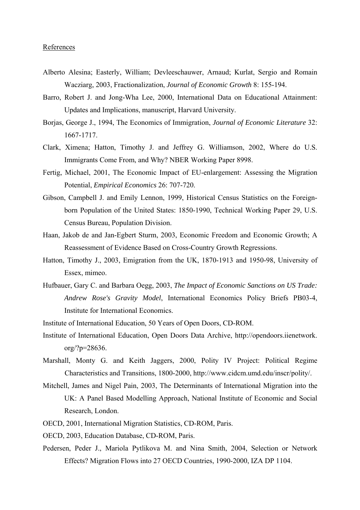#### References

- Alberto Alesina; Easterly, William; Devleeschauwer, Arnaud; Kurlat, Sergio and Romain Wacziarg, 2003, Fractionalization, *Journal of Economic Growth* 8: 155-194.
- Barro, Robert J. and Jong-Wha Lee, 2000, International Data on Educational Attainment: Updates and Implications, manuscript, Harvard University.
- Borjas, George J., 1994, The Economics of Immigration, *Journal of Economic Literature* 32: 1667-1717.
- Clark, Ximena; Hatton, Timothy J. and Jeffrey G. Williamson, 2002, Where do U.S. Immigrants Come From, and Why? NBER Working Paper 8998.
- Fertig, Michael, 2001, The Economic Impact of EU-enlargement: Assessing the Migration Potential, *Empirical Economics* 26: 707-720.
- Gibson, Campbell J. and Emily Lennon, 1999, Historical Census Statistics on the Foreignborn Population of the United States: 1850-1990, Technical Working Paper 29, U.S. Census Bureau, Population Division.
- Haan, Jakob de and Jan-Egbert Sturm, 2003, Economic Freedom and Economic Growth; A Reassessment of Evidence Based on Cross-Country Growth Regressions.
- Hatton, Timothy J., 2003, Emigration from the UK, 1870-1913 and 1950-98, University of Essex, mimeo.
- Hufbauer, Gary C. and Barbara Oegg, 2003, *The Impact of Economic Sanctions on US Trade: Andrew Rose's Gravity Model*, International Economics Policy Briefs PB03-4, Institute for International Economics.
- Institute of International Education, 50 Years of Open Doors, CD-ROM.
- Institute of International Education, Open Doors Data Archive, http://opendoors.iienetwork. org/?p=28636.
- Marshall, Monty G. and Keith Jaggers, 2000, Polity IV Project: Political Regime Characteristics and Transitions, 1800-2000, http://www.cidcm.umd.edu/inscr/polity/.
- Mitchell, James and Nigel Pain, 2003, The Determinants of International Migration into the UK: A Panel Based Modelling Approach, National Institute of Economic and Social Research, London.
- OECD, 2001, International Migration Statistics, CD-ROM, Paris.
- OECD, 2003, Education Database, CD-ROM, Paris.
- Pedersen, Peder J., Mariola Pytlikova M. and Nina Smith, 2004, Selection or Network Effects? Migration Flows into 27 OECD Countries, 1990-2000, IZA DP 1104.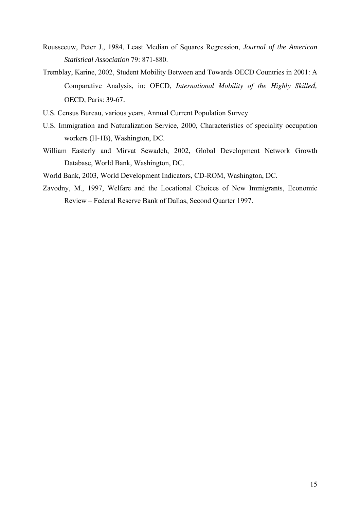- Rousseeuw, Peter J., 1984, Least Median of Squares Regression, *Journal of the American Statistical Association* 79: 871-880.
- Tremblay, Karine, 2002, Student Mobility Between and Towards OECD Countries in 2001: A Comparative Analysis, in: OECD, *International Mobility of the Highly Skilled,*  OECD, Paris: 39-67.
- U.S. Census Bureau, various years, Annual Current Population Survey
- U.S. Immigration and Naturalization Service, 2000, Characteristics of speciality occupation workers (H-1B), Washington, DC.
- William Easterly and Mirvat Sewadeh, 2002, Global Development Network Growth Database, World Bank, Washington, DC.
- World Bank, 2003, World Development Indicators, CD-ROM, Washington, DC.
- Zavodny, M., 1997, Welfare and the Locational Choices of New Immigrants, Economic Review – Federal Reserve Bank of Dallas, Second Quarter 1997.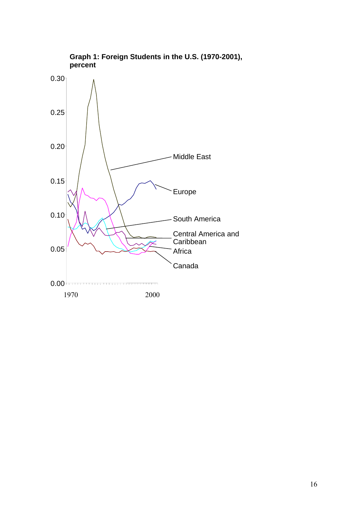

**Graph 1: Foreign Students in the U.S. (1970-2001), percent**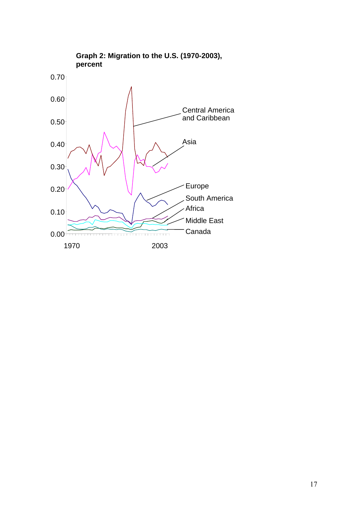

**Graph 2: Migration to the U.S. (1970-2003),**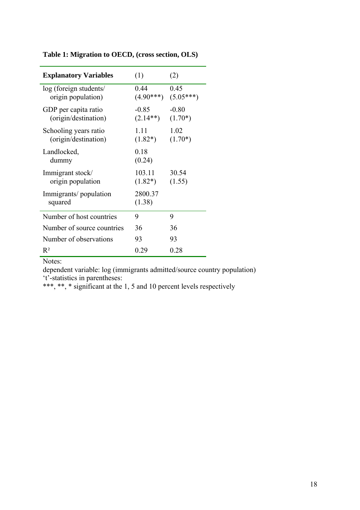| <b>Explanatory Variables</b>                  | (1)                   | (2)                  |
|-----------------------------------------------|-----------------------|----------------------|
| log (foreign students/<br>origin population)  | 0.44<br>$(4.90***)$   | 0.45<br>$(5.05***)$  |
| GDP per capita ratio<br>(origin/destination)  | $-0.85$<br>$(2.14**)$ | $-0.80$<br>$(1.70*)$ |
| Schooling years ratio<br>(origin/destination) | 1.11<br>$(1.82*)$     | 1.02<br>$(1.70*)$    |
| Landlocked,<br>dummy                          | 0.18<br>(0.24)        |                      |
| Immigrant stock/<br>origin population         | 103.11<br>$(1.82*)$   | 30.54<br>(1.55)      |
| Immigrants/population<br>squared              | 2800.37<br>(1.38)     |                      |
| Number of host countries                      | 9                     | 9                    |
| Number of source countries                    | 36                    | 36                   |
| Number of observations                        | 93                    | 93                   |
| $R^2$                                         | 0.29                  | 0.28                 |

**Table 1: Migration to OECD, (cross section, OLS)** 

dependent variable: log (immigrants admitted/source country population) 't'-statistics in parentheses: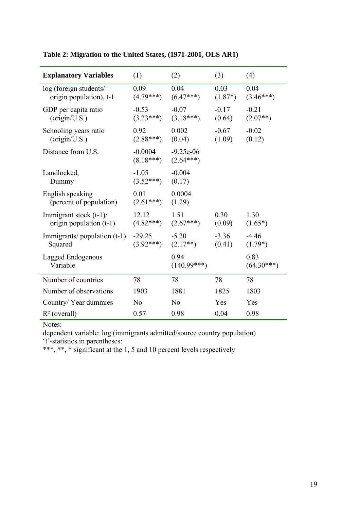| <b>Explanatory Variables</b>                           | (1)                      | (2)                        | (3)               | (4)                   |
|--------------------------------------------------------|--------------------------|----------------------------|-------------------|-----------------------|
| log (foreign students/<br>origin population), t-1      | 0.09<br>$(4.79***)$      | 0.04<br>$(6.47***)$        | 0.03<br>$(1.87*)$ | 0.04<br>$(3.46***)$   |
| GDP per capita ratio<br>(origin/U.S.)                  | $-0.53$<br>$(3.23***)$   | $-0.07$<br>$(3.18***)$     | $-0.17$<br>(0.64) | $-0.21$<br>$(2.07**)$ |
| Schooling years ratio<br>(origin/U.S.)                 | 0.92<br>$(2.88***)$      | 0.002<br>(0.04)            | $-0.67$<br>(1.09) | $-0.02$<br>(0.12)     |
| Distance from U.S.                                     | $-0.0004$<br>$(8.18***)$ | $-9.25e-06$<br>$(2.64***)$ |                   |                       |
| Landlocked,<br>Dummy                                   | $-1.05$<br>$(3.52***)$   | $-0.004$<br>(0.17)         |                   |                       |
| English speaking<br>(percent of population)            | 0.01<br>$(2.61***)$      | 0.0004<br>(1.29)           |                   |                       |
| Immigrant stock $(t-1)$ /<br>origin population $(t-1)$ | 12.12<br>$(4.82***)$     | 1.51<br>$(2.67***)$        | 0.30<br>(0.09)    | 1.30<br>$(1.65*)$     |
| Immigrants/ $p$ population $(t-1)$<br>Squared          | $-29.25$<br>$(3.92***)$  | $-5.20$<br>$(2.17**)$      | $-3.36$<br>(0.41) | $-4.46$<br>$(1.79*)$  |
| Lagged Endogenous<br>Variable                          |                          | 0.94<br>$(140.99***)$      |                   | 0.83<br>$(64.30***)$  |
| Number of countries                                    | 78                       | 78                         | 78                | 78                    |
| Number of observations                                 | 1903                     | 1881                       | 1825              | 1803                  |
| Country/Year dummies                                   | N <sub>0</sub>           | N <sub>0</sub>             | Yes               | Yes                   |
| $R^2$ (overall)                                        | 0.57                     | 0.98                       | 0.04              | 0.98                  |

**Table 2: Migration to the United States, (1971-2001, OLS AR1)** 

dependent variable: log (immigrants admitted/source country population) 't'-statistics in parentheses: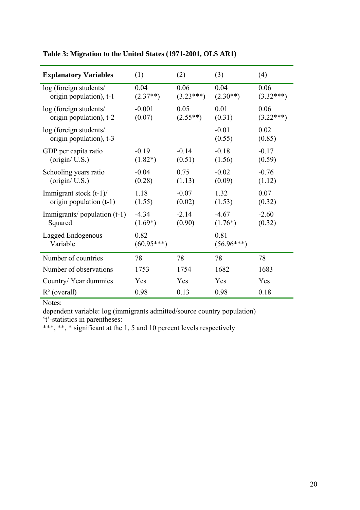| <b>Explanatory Variables</b>                           | (1)                  | (2)                 | (3)                  | (4)                 |
|--------------------------------------------------------|----------------------|---------------------|----------------------|---------------------|
| log (foreign students/<br>origin population), t-1      | 0.04<br>$(2.37**)$   | 0.06<br>$(3.23***)$ | 0.04<br>$(2.30**)$   | 0.06<br>$(3.32***)$ |
| log (foreign students/<br>origin population), t-2      | $-0.001$<br>(0.07)   | 0.05<br>$(2.55**)$  | 0.01<br>(0.31)       | 0.06<br>$(3.22***)$ |
| log (foreign students/<br>origin population), t-3      |                      |                     | $-0.01$<br>(0.55)    | 0.02<br>(0.85)      |
| GDP per capita ratio<br>(origin / U.S.)                | $-0.19$<br>$(1.82*)$ | $-0.14$<br>(0.51)   | $-0.18$<br>(1.56)    | $-0.17$<br>(0.59)   |
| Schooling years ratio<br>(origin/ U.S.)                | $-0.04$<br>(0.28)    | 0.75<br>(1.13)      | $-0.02$<br>(0.09)    | $-0.76$<br>(1.12)   |
| Immigrant stock $(t-1)$ /<br>origin population $(t-1)$ | 1.18<br>(1.55)       | $-0.07$<br>(0.02)   | 1.32<br>(1.53)       | 0.07<br>(0.32)      |
| Immigrants/population $(t-1)$<br>Squared               | $-4.34$<br>$(1.69*)$ | $-2.14$<br>(0.90)   | $-4.67$<br>$(1.76*)$ | $-2.60$<br>(0.32)   |
| Lagged Endogenous<br>Variable                          | 0.82<br>$(60.95***)$ |                     | 0.81<br>$(56.96***)$ |                     |
| Number of countries                                    | 78                   | 78                  | 78                   | 78                  |
| Number of observations                                 | 1753                 | 1754                | 1682                 | 1683                |
| Country/Year dummies                                   | Yes                  | Yes                 | Yes                  | Yes                 |
| $R^2$ (overall)                                        | 0.98                 | 0.13                | 0.98                 | 0.18                |

**Table 3: Migration to the United States (1971-2001, OLS AR1)** 

dependent variable: log (immigrants admitted/source country population) 't'-statistics in parentheses: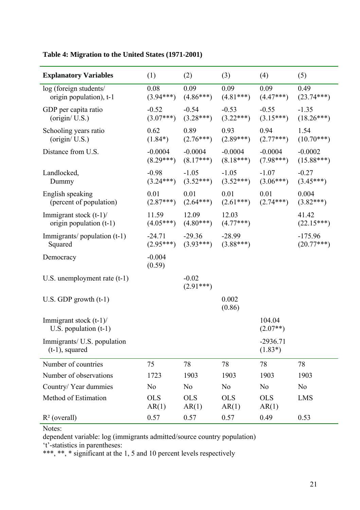| <b>Explanatory Variables</b>                           | (1)                      | (2)                      | (3)                      | (4)                      | (5)                       |
|--------------------------------------------------------|--------------------------|--------------------------|--------------------------|--------------------------|---------------------------|
| log (foreign students/<br>origin population), t-1      | 0.08<br>$(3.94***)$      | 0.09<br>$(4.86***)$      | 0.09<br>$(4.81***)$      | 0.09<br>$(4.47***)$      | 0.49<br>$(23.74***)$      |
| GDP per capita ratio<br>(origin / U.S.)                | $-0.52$<br>$(3.07***)$   | $-0.54$<br>$(3.28***)$   | $-0.53$<br>$(3.22***)$   | $-0.55$<br>$(3.15***)$   | $-1.35$<br>$(18.26***)$   |
| Schooling years ratio<br>(origin / U.S.)               | 0.62<br>$(1.84*)$        | 0.89<br>$(2.76***)$      | 0.93<br>$(2.89***)$      | 0.94<br>$(2.77***)$      | 1.54<br>$(10.70***)$      |
| Distance from U.S.                                     | $-0.0004$<br>$(8.29***)$ | $-0.0004$<br>$(8.17***)$ | $-0.0004$<br>$(8.18***)$ | $-0.0004$<br>$(7.98***)$ | $-0.0002$<br>$(15.88***)$ |
| Landlocked,<br>Dummy                                   | $-0.98$<br>$(3.24***)$   | $-1.05$<br>$(3.52***)$   | $-1.05$<br>$(3.52***)$   | $-1.07$<br>$(3.06***)$   | $-0.27$<br>$(3.45***)$    |
| English speaking<br>(percent of population)            | 0.01<br>$(2.87***)$      | 0.01<br>$(2.64***)$      | 0.01<br>$(2.61***)$      | 0.01<br>$(2.74***)$      | 0.004<br>$(3.82***)$      |
| Immigrant stock $(t-1)$ /<br>origin population $(t-1)$ | 11.59<br>$(4.05***)$     | 12.09<br>$(4.80***)$     | 12.03<br>$(4.77***)$     |                          | 41.42<br>$(22.15***)$     |
| Immigrants/population $(t-1)$<br>Squared               | $-24.71$<br>$(2.95***)$  | $-29.36$<br>$(3.93***)$  | $-28.99$<br>$(3.88***)$  |                          | $-175.96$<br>$(20.77***)$ |
| Democracy                                              | $-0.004$<br>(0.59)       |                          |                          |                          |                           |
| U.S. unemployment rate $(t-1)$                         |                          | $-0.02$<br>$(2.91***)$   |                          |                          |                           |
| U.S. GDP growth $(t-1)$                                |                          |                          | 0.002<br>(0.86)          |                          |                           |
| Immigrant stock $(t-1)$ /<br>U.S. population $(t-1)$   |                          |                          |                          | 104.04<br>$(2.07**)$     |                           |
| Immigrants/ U.S. population<br>$(t-1)$ , squared       |                          |                          |                          | $-2936.71$<br>$(1.83*)$  |                           |
| Number of countries                                    | 75                       | 78                       | 78                       | 78                       | 78                        |
| Number of observations                                 | 1723                     | 1903                     | 1903                     | 1903                     | 1903                      |
| Country/Year dummies                                   | N <sub>0</sub>           | N <sub>0</sub>           | N <sub>0</sub>           | N <sub>0</sub>           | N <sub>0</sub>            |
| Method of Estimation                                   | <b>OLS</b><br>AR(1)      | <b>OLS</b><br>AR(1)      | <b>OLS</b><br>AR(1)      | <b>OLS</b><br>AR(1)      | <b>LMS</b>                |
| $R^2$ (overall)                                        | 0.57                     | 0.57                     | 0.57                     | 0.49                     | 0.53                      |

**Table 4: Migration to the United States (1971-2001)** 

dependent variable: log (immigrants admitted/source country population)

't'-statistics in parentheses: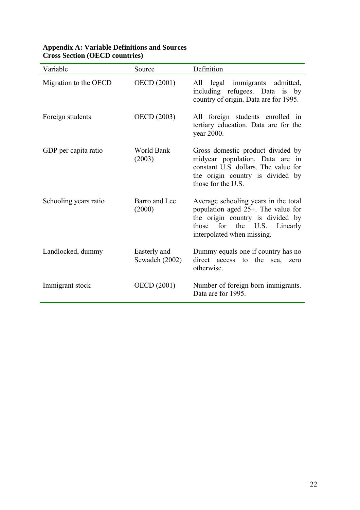| Variable              | Source                         | Definition                                                                                                                                                                  |
|-----------------------|--------------------------------|-----------------------------------------------------------------------------------------------------------------------------------------------------------------------------|
| Migration to the OECD | <b>OECD</b> (2001)             | All legal immigrants admitted,<br>including refugees. Data is by<br>country of origin. Data are for 1995.                                                                   |
| Foreign students      | <b>OECD</b> (2003)             | All foreign students enrolled in<br>tertiary education. Data are for the<br>year 2000.                                                                                      |
| GDP per capita ratio  | World Bank<br>(2003)           | Gross domestic product divided by<br>midyear population. Data are in<br>constant U.S. dollars. The value for<br>the origin country is divided by<br>those for the U.S.      |
| Schooling years ratio | Barro and Lee<br>(2000)        | Average schooling years in the total<br>population aged 25+. The value for<br>the origin country is divided by<br>those for the U.S. Linearly<br>interpolated when missing. |
| Landlocked, dummy     | Easterly and<br>Sewadeh (2002) | Dummy equals one if country has no<br>direct access to the<br>sea, zero<br>otherwise.                                                                                       |
| Immigrant stock       | <b>OECD</b> (2001)             | Number of foreign born immigrants.<br>Data are for 1995.                                                                                                                    |

## **Appendix A: Variable Definitions and Sources Cross Section (OECD countries)**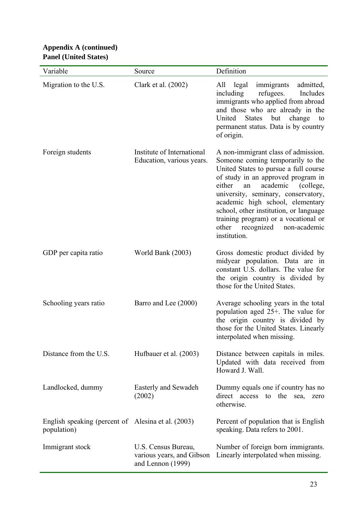## **Appendix A (continued) Panel (United States)**

| Variable                                                          | Source                                                                | Definition                                                                                                                                                                                                                                                                                                                                                                                                     |
|-------------------------------------------------------------------|-----------------------------------------------------------------------|----------------------------------------------------------------------------------------------------------------------------------------------------------------------------------------------------------------------------------------------------------------------------------------------------------------------------------------------------------------------------------------------------------------|
| Migration to the U.S.                                             | Clark et al. (2002)                                                   | All legal<br>immigrants<br>admitted,<br>refugees.<br>including<br>Includes<br>immigrants who applied from abroad<br>and those who are already in the<br>United States but change<br>to<br>permanent status. Data is by country<br>of origin.                                                                                                                                                                   |
| Foreign students                                                  | Institute of International<br>Education, various years.               | A non-immigrant class of admission.<br>Someone coming temporarily to the<br>United States to pursue a full course<br>of study in an approved program in<br>either<br>academic<br>(college,<br>an<br>university, seminary, conservatory,<br>academic high school, elementary<br>school, other institution, or language<br>training program) or a vocational or<br>other recognized non-academic<br>institution. |
| GDP per capita ratio                                              | World Bank (2003)                                                     | Gross domestic product divided by<br>midyear population. Data are in<br>constant U.S. dollars. The value for<br>the origin country is divided by<br>those for the United States.                                                                                                                                                                                                                               |
| Schooling years ratio                                             | Barro and Lee (2000)                                                  | Average schooling years in the total<br>population aged 25+. The value for<br>the origin country is divided by<br>those for the United States. Linearly<br>interpolated when missing.                                                                                                                                                                                                                          |
| Distance from the U.S.                                            | Hufbauer et al. (2003)                                                | Distance between capitals in miles.<br>Updated with data received from<br>Howard J. Wall.                                                                                                                                                                                                                                                                                                                      |
| Landlocked, dummy                                                 | Easterly and Sewadeh<br>(2002)                                        | Dummy equals one if country has no<br>direct access<br>the<br>to<br>sea,<br>zero<br>otherwise.                                                                                                                                                                                                                                                                                                                 |
| English speaking (percent of Alesina et al. (2003)<br>population) |                                                                       | Percent of population that is English<br>speaking. Data refers to 2001.                                                                                                                                                                                                                                                                                                                                        |
| Immigrant stock                                                   | U.S. Census Bureau,<br>various years, and Gibson<br>and Lennon (1999) | Number of foreign born immigrants.<br>Linearly interpolated when missing.                                                                                                                                                                                                                                                                                                                                      |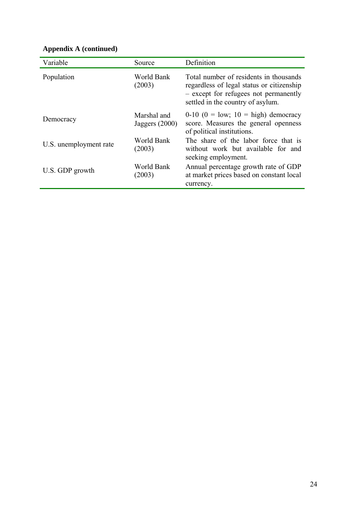| Variable               | Source                          | Definition                                                                                                                                                        |
|------------------------|---------------------------------|-------------------------------------------------------------------------------------------------------------------------------------------------------------------|
| Population             | World Bank<br>(2003)            | Total number of residents in thousands<br>regardless of legal status or citizenship<br>- except for refugees not permanently<br>settled in the country of asylum. |
| Democracy              | Marshal and<br>Jaggers $(2000)$ | $0-10$ $(0 = \text{low}; 10 = \text{high})$ democracy<br>score. Measures the general openness<br>of political institutions.                                       |
| U.S. unemployment rate | World Bank<br>(2003)            | The share of the labor force that is<br>without work but available for and<br>seeking employment.                                                                 |
| U.S. GDP growth        | World Bank<br>(2003)            | Annual percentage growth rate of GDP<br>at market prices based on constant local<br>currency.                                                                     |

# **Appendix A (continued)**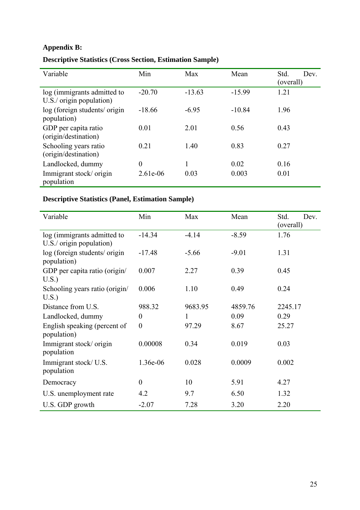# **Appendix B:**

| Variable                                                  | Min            | Max      | Mean     | Std.<br>Dev.<br>(overall) |
|-----------------------------------------------------------|----------------|----------|----------|---------------------------|
| log (immigrants admitted to<br>$U.S./$ origin population) | $-20.70$       | $-13.63$ | $-15.99$ | 1.21                      |
| log (foreign students/ origin<br>population)              | $-18.66$       | $-6.95$  | $-10.84$ | 1.96                      |
| GDP per capita ratio<br>(origin/destination)              | 0.01           | 2.01     | 0.56     | 0.43                      |
| Schooling years ratio<br>(origin/destination)             | 0.21           | 1.40     | 0.83     | 0.27                      |
| Landlocked, dummy                                         | $\overline{0}$ |          | 0.02     | 0.16                      |
| Immigrant stock/origin<br>population                      | 2.61e-06       | 0.03     | 0.003    | 0.01                      |

# **Descriptive Statistics (Cross Section, Estimation Sample)**

# **Descriptive Statistics (Panel, Estimation Sample)**

| Variable                                     | Min              | Max     | Mean    | Std.<br>Dev. |
|----------------------------------------------|------------------|---------|---------|--------------|
|                                              |                  |         |         | (overall)    |
| log (immigrants admitted to                  | $-14.34$         | $-4.14$ | $-8.59$ | 1.76         |
| $U.S./$ origin population)                   |                  |         |         |              |
| log (foreign students/ origin<br>population) | $-17.48$         | $-5.66$ | $-9.01$ | 1.31         |
| GDP per capita ratio (origin/                | 0.007            | 2.27    | 0.39    | 0.45         |
| $U.S.$ )                                     |                  |         |         |              |
| Schooling years ratio (origin/               | 0.006            | 1.10    | 0.49    | 0.24         |
| U.S.                                         |                  |         |         |              |
| Distance from U.S.                           | 988.32           | 9683.95 | 4859.76 | 2245.17      |
|                                              |                  |         |         |              |
| Landlocked, dummy                            | $\overline{0}$   | 1       | 0.09    | 0.29         |
| English speaking (percent of<br>population)  | $\boldsymbol{0}$ | 97.29   | 8.67    | 25.27        |
| Immigrant stock/origin                       | 0.00008          | 0.34    | 0.019   | 0.03         |
| population                                   |                  |         |         |              |
| Immigrant stock/U.S.                         | 1.36e-06         | 0.028   | 0.0009  | 0.002        |
| population                                   |                  |         |         |              |
|                                              |                  |         |         |              |
| Democracy                                    | $\theta$         | 10      | 5.91    | 4.27         |
| U.S. unemployment rate                       | 4.2              | 9.7     | 6.50    | 1.32         |
| U.S. GDP growth                              | $-2.07$          | 7.28    | 3.20    | 2.20         |